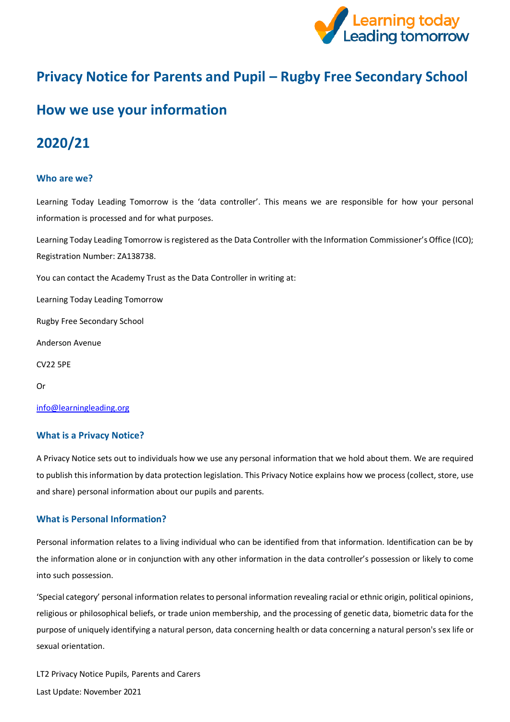

# **Privacy Notice for Parents and Pupil – Rugby Free Secondary School**

# **How we use your information**

# **2020/21**

### **Who are we?**

Learning Today Leading Tomorrow is the 'data controller'. This means we are responsible for how your personal information is processed and for what purposes.

Learning Today Leading Tomorrow is registered as the Data Controller with the Information Commissioner's Office (ICO); Registration Number: ZA138738.

You can contact the Academy Trust as the Data Controller in writing at:

Learning Today Leading Tomorrow

Rugby Free Secondary School

Anderson Avenue

CV22 5PE

Or

[info@learningleading.org](https://rfps-my.sharepoint.com/personal/georgina_langley_learningleading_org/Documents/GDPR/Privacy%20Notice/Parent-Carer%20Privacy%20Notices/info@learningleading.org)

#### **What is a Privacy Notice?**

A Privacy Notice sets out to individuals how we use any personal information that we hold about them. We are required to publish this information by data protection legislation. This Privacy Notice explains how we process (collect, store, use and share) personal information about our pupils and parents.

#### **What is Personal Information?**

Personal information relates to a living individual who can be identified from that information. Identification can be by the information alone or in conjunction with any other information in the data controller's possession or likely to come into such possession.

'Special category' personal information relates to personal information revealing racial or ethnic origin, political opinions, religious or philosophical beliefs, or trade union membership, and the processing of genetic data, biometric data for the purpose of uniquely identifying a natural person, data concerning health or data concerning a natural person's sex life or sexual orientation.

LT2 Privacy Notice Pupils, Parents and Carers Last Update: November 2021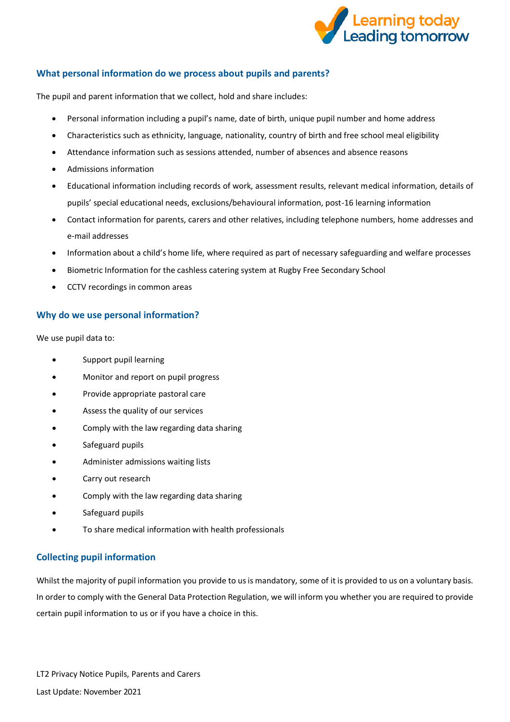

# **What personal information do we process about pupils and parents?**

The pupil and parent information that we collect, hold and share includes:

- Personal information including a pupil's name, date of birth, unique pupil number and home address
- Characteristics such as ethnicity, language, nationality, country of birth and free school meal eligibility
- Attendance information such as sessions attended, number of absences and absence reasons
- Admissions information
- Educational information including records of work, assessment results, relevant medical information, details of pupils' special educational needs, exclusions/behavioural information, post-16 learning information
- Contact information for parents, carers and other relatives, including telephone numbers, home addresses and e-mail addresses
- Information about a child's home life, where required as part of necessary safeguarding and welfare processes
- Biometric Information for the cashless catering system at Rugby Free Secondary School
- CCTV recordings in common areas

# **Why do we use personal information?**

We use pupil data to:

- Support pupil learning
- Monitor and report on pupil progress
- Provide appropriate pastoral care
- Assess the quality of our services
- Comply with the law regarding data sharing
- Safeguard pupils
- Administer admissions waiting lists
- Carry out research
- Comply with the law regarding data sharing
- Safeguard pupils
- To share medical information with health professionals

# **Collecting pupil information**

Whilst the majority of pupil information you provide to us is mandatory, some of it is provided to us on a voluntary basis. In order to comply with the General Data Protection Regulation, we will inform you whether you are required to provide certain pupil information to us or if you have a choice in this.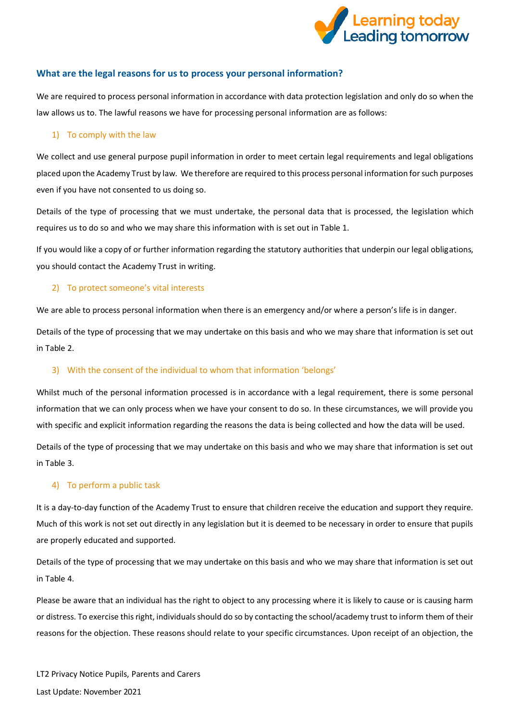

## **What are the legal reasons for us to process your personal information?**

We are required to process personal information in accordance with data protection legislation and only do so when the law allows us to. The lawful reasons we have for processing personal information are as follows:

#### 1) To comply with the law

We collect and use general purpose pupil information in order to meet certain legal requirements and legal obligations placed upon the Academy Trust by law. We therefore are required to this process personal information for such purposes even if you have not consented to us doing so.

Details of the type of processing that we must undertake, the personal data that is processed, the legislation which requires us to do so and who we may share this information with is set out in Table 1.

If you would like a copy of or further information regarding the statutory authorities that underpin our legal obligations, you should contact the Academy Trust in writing.

#### 2) To protect someone's vital interests

We are able to process personal information when there is an emergency and/or where a person's life is in danger.

Details of the type of processing that we may undertake on this basis and who we may share that information is set out in Table 2.

#### 3) With the consent of the individual to whom that information 'belongs'

Whilst much of the personal information processed is in accordance with a legal requirement, there is some personal information that we can only process when we have your consent to do so. In these circumstances, we will provide you with specific and explicit information regarding the reasons the data is being collected and how the data will be used.

Details of the type of processing that we may undertake on this basis and who we may share that information is set out in Table 3.

#### 4) To perform a public task

It is a day-to-day function of the Academy Trust to ensure that children receive the education and support they require. Much of this work is not set out directly in any legislation but it is deemed to be necessary in order to ensure that pupils are properly educated and supported.

Details of the type of processing that we may undertake on this basis and who we may share that information is set out in Table 4.

Please be aware that an individual has the right to object to any processing where it is likely to cause or is causing harm or distress. To exercise this right, individuals should do so by contacting the school/academy trust to inform them of their reasons for the objection. These reasons should relate to your specific circumstances. Upon receipt of an objection, the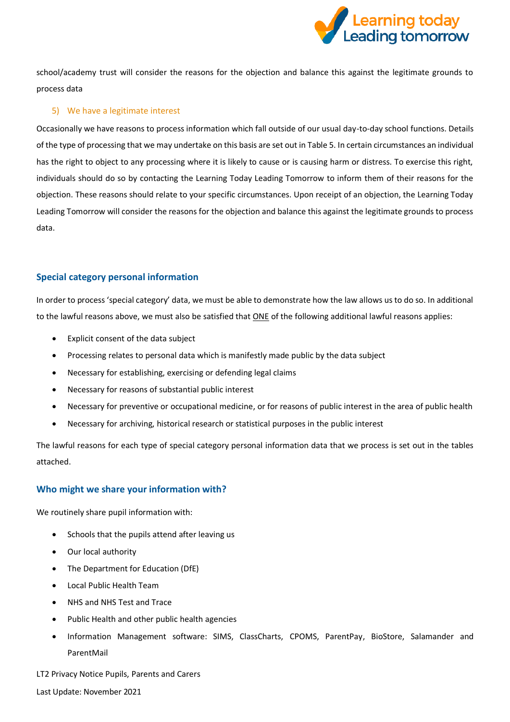

school/academy trust will consider the reasons for the objection and balance this against the legitimate grounds to process data

#### 5) We have a legitimate interest

Occasionally we have reasons to process information which fall outside of our usual day-to-day school functions. Details of the type of processing that we may undertake on this basis are set out in Table 5. In certain circumstances an individual has the right to object to any processing where it is likely to cause or is causing harm or distress. To exercise this right, individuals should do so by contacting the Learning Today Leading Tomorrow to inform them of their reasons for the objection. These reasons should relate to your specific circumstances. Upon receipt of an objection, the Learning Today Leading Tomorrow will consider the reasons for the objection and balance this against the legitimate grounds to process data.

## **Special category personal information**

In order to process 'special category' data, we must be able to demonstrate how the law allows us to do so. In additional to the lawful reasons above, we must also be satisfied that ONE of the following additional lawful reasons applies:

- Explicit consent of the data subject
- Processing relates to personal data which is manifestly made public by the data subject
- Necessary for establishing, exercising or defending legal claims
- Necessary for reasons of substantial public interest
- Necessary for preventive or occupational medicine, or for reasons of public interest in the area of public health
- Necessary for archiving, historical research or statistical purposes in the public interest

The lawful reasons for each type of special category personal information data that we process is set out in the tables attached.

#### **Who might we share your information with?**

We routinely share pupil information with:

- Schools that the pupils attend after leaving us
- Our local authority
- The Department for Education (DfE)
- Local Public Health Team
- NHS and NHS Test and Trace
- Public Health and other public health agencies
- Information Management software: SIMS, ClassCharts, CPOMS, ParentPay, BioStore, Salamander and ParentMail

LT2 Privacy Notice Pupils, Parents and Carers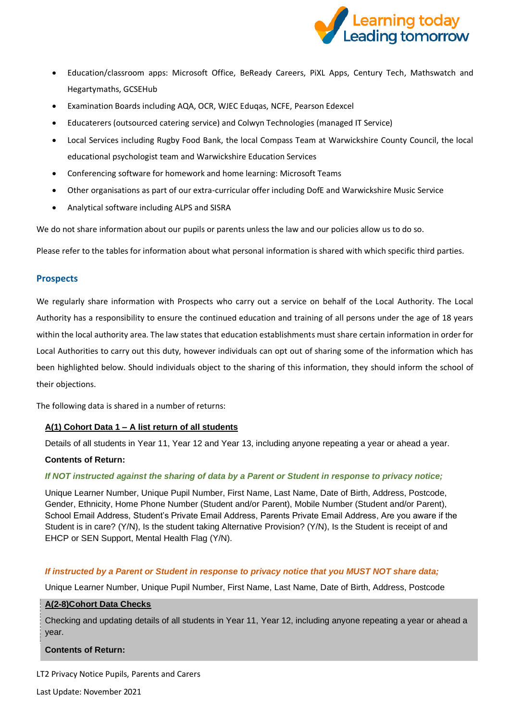

- Education/classroom apps: Microsoft Office, BeReady Careers, PiXL Apps, Century Tech, Mathswatch and Hegartymaths, GCSEHub
- Examination Boards including AQA, OCR, WJEC Eduqas, NCFE, Pearson Edexcel
- Educaterers (outsourced catering service) and Colwyn Technologies (managed IT Service)
- Local Services including Rugby Food Bank, the local Compass Team at Warwickshire County Council, the local educational psychologist team and Warwickshire Education Services
- Conferencing software for homework and home learning: Microsoft Teams
- Other organisations as part of our extra-curricular offer including DofE and Warwickshire Music Service
- Analytical software including ALPS and SISRA

We do not share information about our pupils or parents unless the law and our policies allow us to do so.

Please refer to the tables for information about what personal information is shared with which specific third parties.

#### **Prospects**

We regularly share information with Prospects who carry out a service on behalf of the Local Authority. The Local Authority has a responsibility to ensure the continued education and training of all persons under the age of 18 years within the local authority area. The law states that education establishments must share certain information in order for Local Authorities to carry out this duty, however individuals can opt out of sharing some of the information which has been highlighted below. Should individuals object to the sharing of this information, they should inform the school of their objections.

The following data is shared in a number of returns:

#### **A(1) Cohort Data 1 – A list return of all students**

Details of all students in Year 11, Year 12 and Year 13, including anyone repeating a year or ahead a year.

#### **Contents of Return:**

#### *If NOT instructed against the sharing of data by a Parent or Student in response to privacy notice;*

Unique Learner Number, Unique Pupil Number, First Name, Last Name, Date of Birth, Address, Postcode, Gender, Ethnicity, Home Phone Number (Student and/or Parent), Mobile Number (Student and/or Parent), School Email Address, Student's Private Email Address, Parents Private Email Address, Are you aware if the Student is in care? (Y/N), Is the student taking Alternative Provision? (Y/N), Is the Student is receipt of and EHCP or SEN Support, Mental Health Flag (Y/N).

#### *If instructed by a Parent or Student in response to privacy notice that you MUST NOT share data;*

Unique Learner Number, Unique Pupil Number, First Name, Last Name, Date of Birth, Address, Postcode

#### **A(2-8)Cohort Data Checks**

Checking and updating details of all students in Year 11, Year 12, including anyone repeating a year or ahead a year.

#### **Contents of Return:**

LT2 Privacy Notice Pupils, Parents and Carers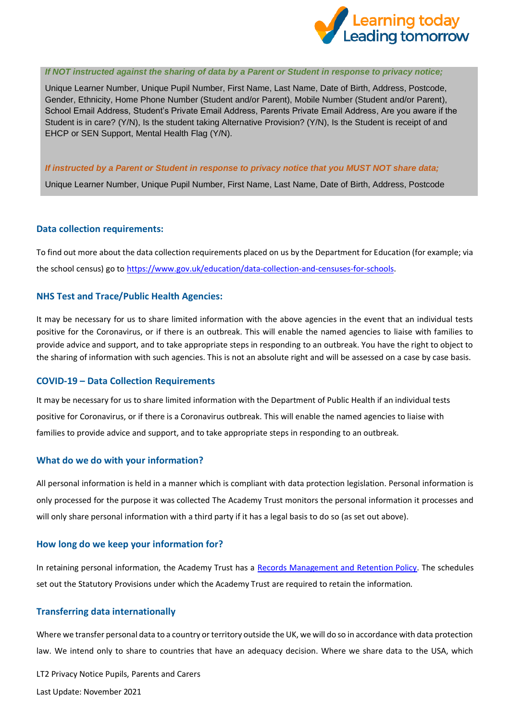

#### *If NOT instructed against the sharing of data by a Parent or Student in response to privacy notice;*

Unique Learner Number, Unique Pupil Number, First Name, Last Name, Date of Birth, Address, Postcode, Gender, Ethnicity, Home Phone Number (Student and/or Parent), Mobile Number (Student and/or Parent), School Email Address, Student's Private Email Address, Parents Private Email Address, Are you aware if the Student is in care? (Y/N), Is the student taking Alternative Provision? (Y/N), Is the Student is receipt of and EHCP or SEN Support, Mental Health Flag (Y/N).

#### *If instructed by a Parent or Student in response to privacy notice that you MUST NOT share data;*

Unique Learner Number, Unique Pupil Number, First Name, Last Name, Date of Birth, Address, Postcode

#### **Data collection requirements:**

To find out more about the data collection requirements placed on us by the Department for Education (for example; via the school census) go to [https://www.gov.uk/education/data-collection-and-censuses-for-schools.](https://www.gov.uk/education/data-collection-and-censuses-for-schools)

#### **NHS Test and Trace/Public Health Agencies:**

It may be necessary for us to share limited information with the above agencies in the event that an individual tests positive for the Coronavirus, or if there is an outbreak. This will enable the named agencies to liaise with families to provide advice and support, and to take appropriate steps in responding to an outbreak. You have the right to object to the sharing of information with such agencies. This is not an absolute right and will be assessed on a case by case basis.

#### **COVID-19 – Data Collection Requirements**

It may be necessary for us to share limited information with the Department of Public Health if an individual tests positive for Coronavirus, or if there is a Coronavirus outbreak. This will enable the named agencies to liaise with families to provide advice and support, and to take appropriate steps in responding to an outbreak.

#### **What do we do with your information?**

All personal information is held in a manner which is compliant with data protection legislation. Personal information is only processed for the purpose it was collected The Academy Trust monitors the personal information it processes and will only share personal information with a third party if it has a legal basis to do so (as set out above).

#### **How long do we keep your information for?**

In retaining personal information, the Academy Trust has a [Records Management and Retention Policy.](https://www.the-trust-governor.co.uk/documents/202103240752500.210326%20LT2%20Records%20Management%20Policy.pdf) The schedules set out the Statutory Provisions under which the Academy Trust are required to retain the information.

#### **Transferring data internationally**

Where we transfer personal data to a country or territory outside the UK, we will do so in accordance with data protection law. We intend only to share to countries that have an adequacy decision. Where we share data to the USA, which

LT2 Privacy Notice Pupils, Parents and Carers Last Update: November 2021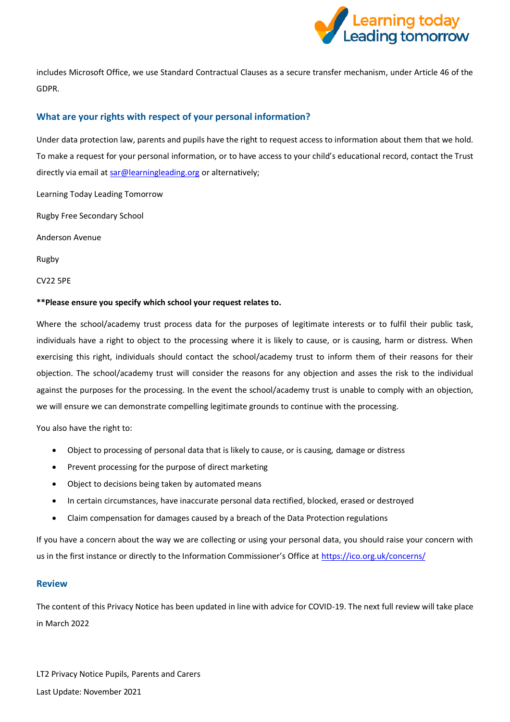

includes Microsoft Office, we use Standard Contractual Clauses as a secure transfer mechanism, under Article 46 of the GDPR.

## **What are your rights with respect of your personal information?**

Under data protection law, parents and pupils have the right to request access to information about them that we hold. To make a request for your personal information, or to have access to your child's educational record, contact the Trust directly via email a[t sar@learningleading.org](mailto:sar@learningleading.org) or alternatively;

Learning Today Leading Tomorrow

Rugby Free Secondary School

Anderson Avenue

Rugby

CV22 5PE

#### **\*\*Please ensure you specify which school your request relates to.**

Where the school/academy trust process data for the purposes of legitimate interests or to fulfil their public task, individuals have a right to object to the processing where it is likely to cause, or is causing, harm or distress. When exercising this right, individuals should contact the school/academy trust to inform them of their reasons for their objection. The school/academy trust will consider the reasons for any objection and asses the risk to the individual against the purposes for the processing. In the event the school/academy trust is unable to comply with an objection, we will ensure we can demonstrate compelling legitimate grounds to continue with the processing.

You also have the right to:

- Object to processing of personal data that is likely to cause, or is causing, damage or distress
- Prevent processing for the purpose of direct marketing
- Object to decisions being taken by automated means
- In certain circumstances, have inaccurate personal data rectified, blocked, erased or destroyed
- Claim compensation for damages caused by a breach of the Data Protection regulations

If you have a concern about the way we are collecting or using your personal data, you should raise your concern with us in the first instance or directly to the Information Commissioner's Office at <https://ico.org.uk/concerns/>

#### **Review**

The content of this Privacy Notice has been updated in line with advice for COVID-19. The next full review will take place in March 2022

LT2 Privacy Notice Pupils, Parents and Carers Last Update: November 2021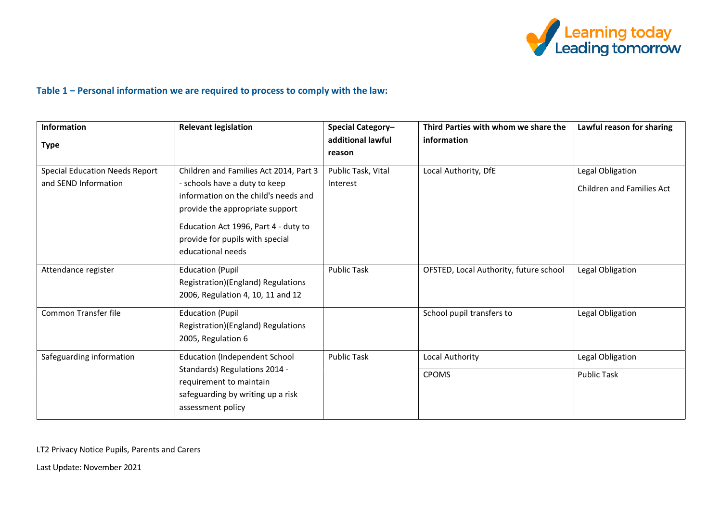

# **Table 1 – Personal information we are required to process to comply with the law:**

| <b>Information</b><br><b>Type</b>                             | <b>Relevant legislation</b>                                                                                                                                                                                                                        | Special Category-<br>additional lawful | Third Parties with whom we share the<br>information | Lawful reason for sharing                            |
|---------------------------------------------------------------|----------------------------------------------------------------------------------------------------------------------------------------------------------------------------------------------------------------------------------------------------|----------------------------------------|-----------------------------------------------------|------------------------------------------------------|
|                                                               |                                                                                                                                                                                                                                                    | reason                                 |                                                     |                                                      |
| <b>Special Education Needs Report</b><br>and SEND Information | Children and Families Act 2014, Part 3<br>- schools have a duty to keep<br>information on the child's needs and<br>provide the appropriate support<br>Education Act 1996, Part 4 - duty to<br>provide for pupils with special<br>educational needs | Public Task, Vital<br>Interest         | Local Authority, DfE                                | Legal Obligation<br><b>Children and Families Act</b> |
| Attendance register                                           | <b>Education (Pupil</b><br>Registration)(England) Regulations<br>2006, Regulation 4, 10, 11 and 12                                                                                                                                                 | <b>Public Task</b>                     | OFSTED, Local Authority, future school              | Legal Obligation                                     |
| Common Transfer file                                          | <b>Education (Pupil</b><br>Registration)(England) Regulations<br>2005, Regulation 6                                                                                                                                                                |                                        | School pupil transfers to                           | Legal Obligation                                     |
| Safeguarding information                                      | <b>Education (Independent School</b><br>Standards) Regulations 2014 -<br>requirement to maintain<br>safeguarding by writing up a risk<br>assessment policy                                                                                         | <b>Public Task</b>                     | Local Authority<br><b>CPOMS</b>                     | Legal Obligation<br><b>Public Task</b>               |

LT2 Privacy Notice Pupils, Parents and Carers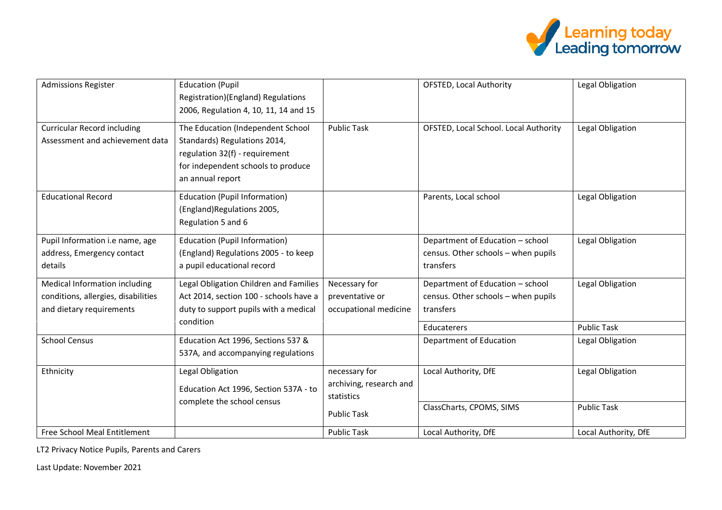

| <b>Admissions Register</b>                                                                       | <b>Education (Pupil</b><br>Registration)(England) Regulations<br>2006, Regulation 4, 10, 11, 14 and 15                                                        |                                                           | <b>OFSTED, Local Authority</b>                                                       | Legal Obligation                       |
|--------------------------------------------------------------------------------------------------|---------------------------------------------------------------------------------------------------------------------------------------------------------------|-----------------------------------------------------------|--------------------------------------------------------------------------------------|----------------------------------------|
| <b>Curricular Record including</b><br>Assessment and achievement data                            | The Education (Independent School<br>Standards) Regulations 2014,<br>regulation 32(f) - requirement<br>for independent schools to produce<br>an annual report | <b>Public Task</b>                                        | OFSTED, Local School. Local Authority                                                | Legal Obligation                       |
| <b>Educational Record</b>                                                                        | <b>Education (Pupil Information)</b><br>(England)Regulations 2005,<br>Regulation 5 and 6                                                                      |                                                           | Parents, Local school                                                                | Legal Obligation                       |
| Pupil Information i.e name, age<br>address, Emergency contact<br>details                         | <b>Education (Pupil Information)</b><br>(England) Regulations 2005 - to keep<br>a pupil educational record                                                    |                                                           | Department of Education - school<br>census. Other schools - when pupils<br>transfers | Legal Obligation                       |
| Medical Information including<br>conditions, allergies, disabilities<br>and dietary requirements | Legal Obligation Children and Families<br>Act 2014, section 100 - schools have a<br>duty to support pupils with a medical<br>condition                        | Necessary for<br>preventative or<br>occupational medicine | Department of Education - school<br>census. Other schools - when pupils<br>transfers | Legal Obligation                       |
| <b>School Census</b>                                                                             | Education Act 1996, Sections 537 &<br>537A, and accompanying regulations                                                                                      |                                                           | Educaterers<br>Department of Education                                               | <b>Public Task</b><br>Legal Obligation |
| Ethnicity                                                                                        | Legal Obligation<br>Education Act 1996, Section 537A - to                                                                                                     | necessary for<br>archiving, research and<br>statistics    | Local Authority, DfE                                                                 | Legal Obligation                       |
|                                                                                                  | complete the school census                                                                                                                                    | <b>Public Task</b>                                        | ClassCharts, CPOMS, SIMS                                                             | <b>Public Task</b>                     |
| Free School Meal Entitlement                                                                     |                                                                                                                                                               | <b>Public Task</b>                                        | Local Authority, DfE                                                                 | Local Authority, DfE                   |

LT2 Privacy Notice Pupils, Parents and Carers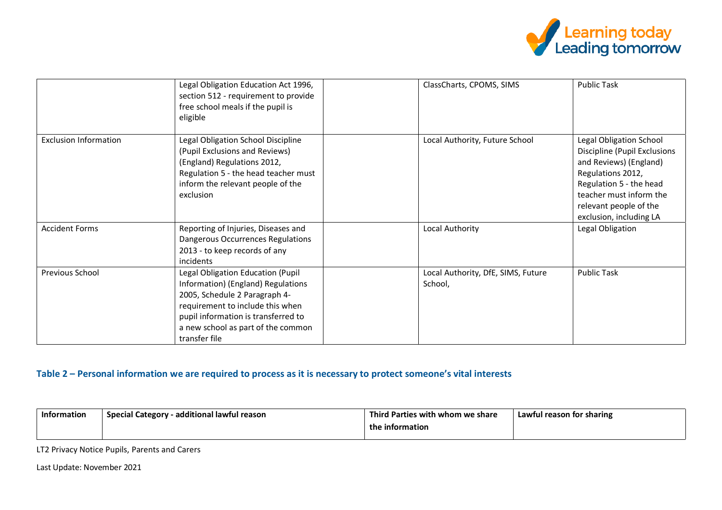

|                              | Legal Obligation Education Act 1996,<br>section 512 - requirement to provide<br>free school meals if the pupil is<br>eligible                                                                                                              | ClassCharts, CPOMS, SIMS                      | <b>Public Task</b>                                                                                                                                                                                                       |
|------------------------------|--------------------------------------------------------------------------------------------------------------------------------------------------------------------------------------------------------------------------------------------|-----------------------------------------------|--------------------------------------------------------------------------------------------------------------------------------------------------------------------------------------------------------------------------|
| <b>Exclusion Information</b> | Legal Obligation School Discipline<br>(Pupil Exclusions and Reviews)<br>(England) Regulations 2012,<br>Regulation 5 - the head teacher must<br>inform the relevant people of the<br>exclusion                                              | Local Authority, Future School                | <b>Legal Obligation School</b><br>Discipline (Pupil Exclusions<br>and Reviews) (England)<br>Regulations 2012,<br>Regulation 5 - the head<br>teacher must inform the<br>relevant people of the<br>exclusion, including LA |
| <b>Accident Forms</b>        | Reporting of Injuries, Diseases and<br>Dangerous Occurrences Regulations<br>2013 - to keep records of any<br>incidents                                                                                                                     | Local Authority                               | Legal Obligation                                                                                                                                                                                                         |
| Previous School              | Legal Obligation Education (Pupil<br>Information) (England) Regulations<br>2005, Schedule 2 Paragraph 4-<br>requirement to include this when<br>pupil information is transferred to<br>a new school as part of the common<br>transfer file | Local Authority, DfE, SIMS, Future<br>School, | <b>Public Task</b>                                                                                                                                                                                                       |

# **Table 2 – Personal information we are required to process as it is necessary to protect someone's vital interests**

| Information | $\cdot$ additional lawful reason | ™nir.                        | Lawful reason for sharing |
|-------------|----------------------------------|------------------------------|---------------------------|
|             | <b>Special Category</b>          | ' Parties with whom we share |                           |
|             |                                  | the information              |                           |

LT2 Privacy Notice Pupils, Parents and Carers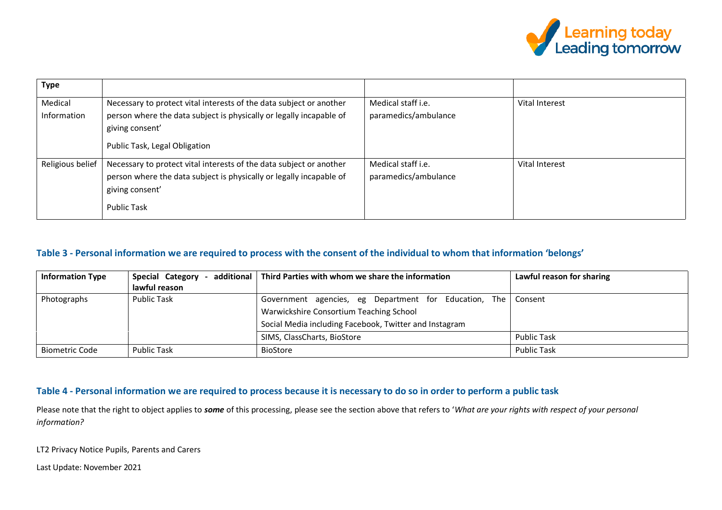

| <b>Type</b>            |                                                                                                                                                                                                |                                            |                |
|------------------------|------------------------------------------------------------------------------------------------------------------------------------------------------------------------------------------------|--------------------------------------------|----------------|
| Medical<br>Information | Necessary to protect vital interests of the data subject or another<br>person where the data subject is physically or legally incapable of<br>giving consent'<br>Public Task, Legal Obligation | Medical staff i.e.<br>paramedics/ambulance | Vital Interest |
| Religious belief       | Necessary to protect vital interests of the data subject or another<br>person where the data subject is physically or legally incapable of<br>giving consent'<br><b>Public Task</b>            | Medical staff i.e.<br>paramedics/ambulance | Vital Interest |

## **Table 3 - Personal information we are required to process with the consent of the individual to whom that information 'belongs'**

| <b>Information Type</b> | Special Category<br>lawful reason | additional   Third Parties with whom we share the information                                                                                              | Lawful reason for sharing |
|-------------------------|-----------------------------------|------------------------------------------------------------------------------------------------------------------------------------------------------------|---------------------------|
| Photographs             | <b>Public Task</b>                | Government agencies, eg Department for Education, The<br>Warwickshire Consortium Teaching School<br>Social Media including Facebook, Twitter and Instagram | Consent                   |
|                         |                                   | SIMS, ClassCharts, BioStore                                                                                                                                | <b>Public Task</b>        |
| Biometric Code          | <b>Public Task</b>                | <b>BioStore</b>                                                                                                                                            | <b>Public Task</b>        |

### **Table 4 - Personal information we are required to process because it is necessary to do so in order to perform a public task**

Please note that the right to object applies to *some* of this processing, please see the section above that refers to '*What are your rights with respect of your personal information?*

LT2 Privacy Notice Pupils, Parents and Carers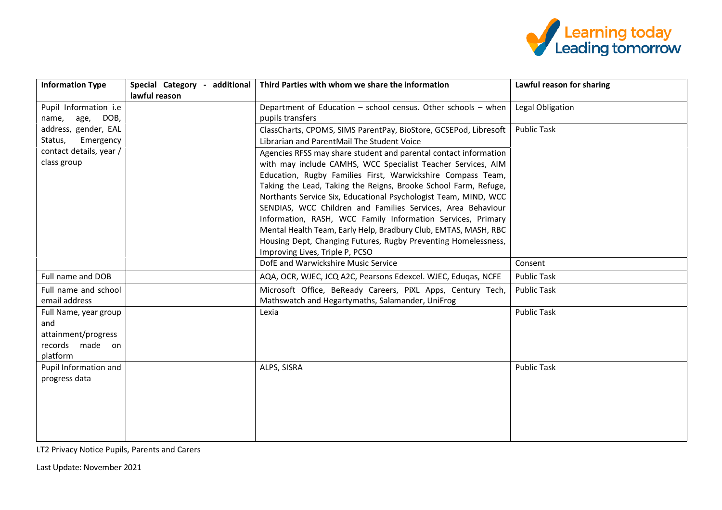

| <b>Information Type</b> | Special Category - additional | Third Parties with whom we share the information                 | Lawful reason for sharing |
|-------------------------|-------------------------------|------------------------------------------------------------------|---------------------------|
|                         | lawful reason                 |                                                                  |                           |
| Pupil Information i.e   |                               | Department of Education - school census. Other schools - when    | Legal Obligation          |
| age, DOB,<br>name,      |                               | pupils transfers                                                 |                           |
| address, gender, EAL    |                               | ClassCharts, CPOMS, SIMS ParentPay, BioStore, GCSEPod, Libresoft | <b>Public Task</b>        |
| Emergency<br>Status,    |                               | Librarian and ParentMail The Student Voice                       |                           |
| contact details, year / |                               | Agencies RFSS may share student and parental contact information |                           |
| class group             |                               | with may include CAMHS, WCC Specialist Teacher Services, AIM     |                           |
|                         |                               | Education, Rugby Families First, Warwickshire Compass Team,      |                           |
|                         |                               | Taking the Lead, Taking the Reigns, Brooke School Farm, Refuge,  |                           |
|                         |                               | Northants Service Six, Educational Psychologist Team, MIND, WCC  |                           |
|                         |                               | SENDIAS, WCC Children and Families Services, Area Behaviour      |                           |
|                         |                               | Information, RASH, WCC Family Information Services, Primary      |                           |
|                         |                               | Mental Health Team, Early Help, Bradbury Club, EMTAS, MASH, RBC  |                           |
|                         |                               | Housing Dept, Changing Futures, Rugby Preventing Homelessness,   |                           |
|                         |                               | Improving Lives, Triple P, PCSO                                  |                           |
|                         |                               | DofE and Warwickshire Music Service                              | Consent                   |
| Full name and DOB       |                               | AQA, OCR, WJEC, JCQ A2C, Pearsons Edexcel. WJEC, Edugas, NCFE    | <b>Public Task</b>        |
| Full name and school    |                               | Microsoft Office, BeReady Careers, PiXL Apps, Century Tech,      | <b>Public Task</b>        |
| email address           |                               | Mathswatch and Hegartymaths, Salamander, UniFrog                 |                           |
| Full Name, year group   |                               | Lexia                                                            | <b>Public Task</b>        |
| and                     |                               |                                                                  |                           |
| attainment/progress     |                               |                                                                  |                           |
| records made on         |                               |                                                                  |                           |
| platform                |                               |                                                                  |                           |
| Pupil Information and   |                               | ALPS, SISRA                                                      | <b>Public Task</b>        |
| progress data           |                               |                                                                  |                           |
|                         |                               |                                                                  |                           |
|                         |                               |                                                                  |                           |
|                         |                               |                                                                  |                           |
|                         |                               |                                                                  |                           |
|                         |                               |                                                                  |                           |

LT2 Privacy Notice Pupils, Parents and Carers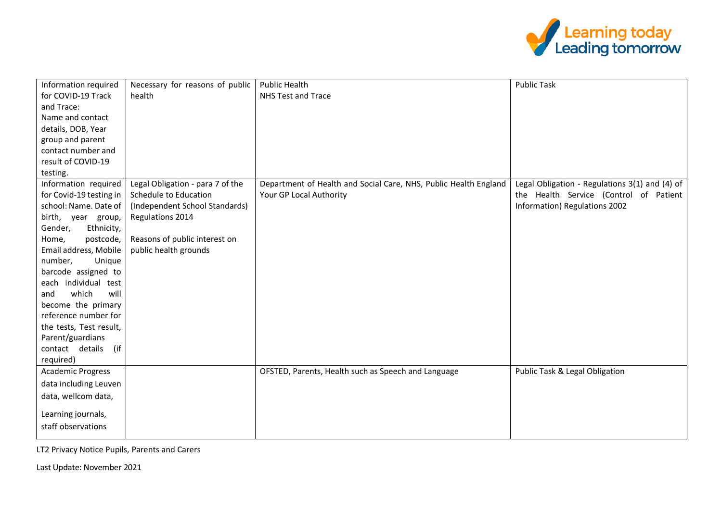

| Information required      | Necessary for reasons of public  | <b>Public Health</b>                                             | <b>Public Task</b>                             |
|---------------------------|----------------------------------|------------------------------------------------------------------|------------------------------------------------|
| for COVID-19 Track        | health                           | NHS Test and Trace                                               |                                                |
| and Trace:                |                                  |                                                                  |                                                |
| Name and contact          |                                  |                                                                  |                                                |
| details, DOB, Year        |                                  |                                                                  |                                                |
| group and parent          |                                  |                                                                  |                                                |
| contact number and        |                                  |                                                                  |                                                |
| result of COVID-19        |                                  |                                                                  |                                                |
| testing.                  |                                  |                                                                  |                                                |
| Information required      | Legal Obligation - para 7 of the | Department of Health and Social Care, NHS, Public Health England | Legal Obligation - Regulations 3(1) and (4) of |
| for Covid-19 testing in   | Schedule to Education            | Your GP Local Authority                                          | the Health Service (Control of Patient         |
| school: Name. Date of     | (Independent School Standards)   |                                                                  | Information) Regulations 2002                  |
| birth, year group,        | Regulations 2014                 |                                                                  |                                                |
| Gender,<br>Ethnicity,     |                                  |                                                                  |                                                |
| postcode,<br>Home,        | Reasons of public interest on    |                                                                  |                                                |
| Email address, Mobile     | public health grounds            |                                                                  |                                                |
| number,<br>Unique         |                                  |                                                                  |                                                |
| barcode assigned to       |                                  |                                                                  |                                                |
| each individual test      |                                  |                                                                  |                                                |
| will<br>which<br>and      |                                  |                                                                  |                                                |
| become the primary        |                                  |                                                                  |                                                |
| reference number for      |                                  |                                                                  |                                                |
| the tests, Test result,   |                                  |                                                                  |                                                |
| Parent/guardians          |                                  |                                                                  |                                                |
| contact details<br>$($ if |                                  |                                                                  |                                                |
| required)                 |                                  |                                                                  |                                                |
| <b>Academic Progress</b>  |                                  | OFSTED, Parents, Health such as Speech and Language              | Public Task & Legal Obligation                 |
| data including Leuven     |                                  |                                                                  |                                                |
| data, wellcom data,       |                                  |                                                                  |                                                |
| Learning journals,        |                                  |                                                                  |                                                |
| staff observations        |                                  |                                                                  |                                                |
|                           |                                  |                                                                  |                                                |

LT2 Privacy Notice Pupils, Parents and Carers